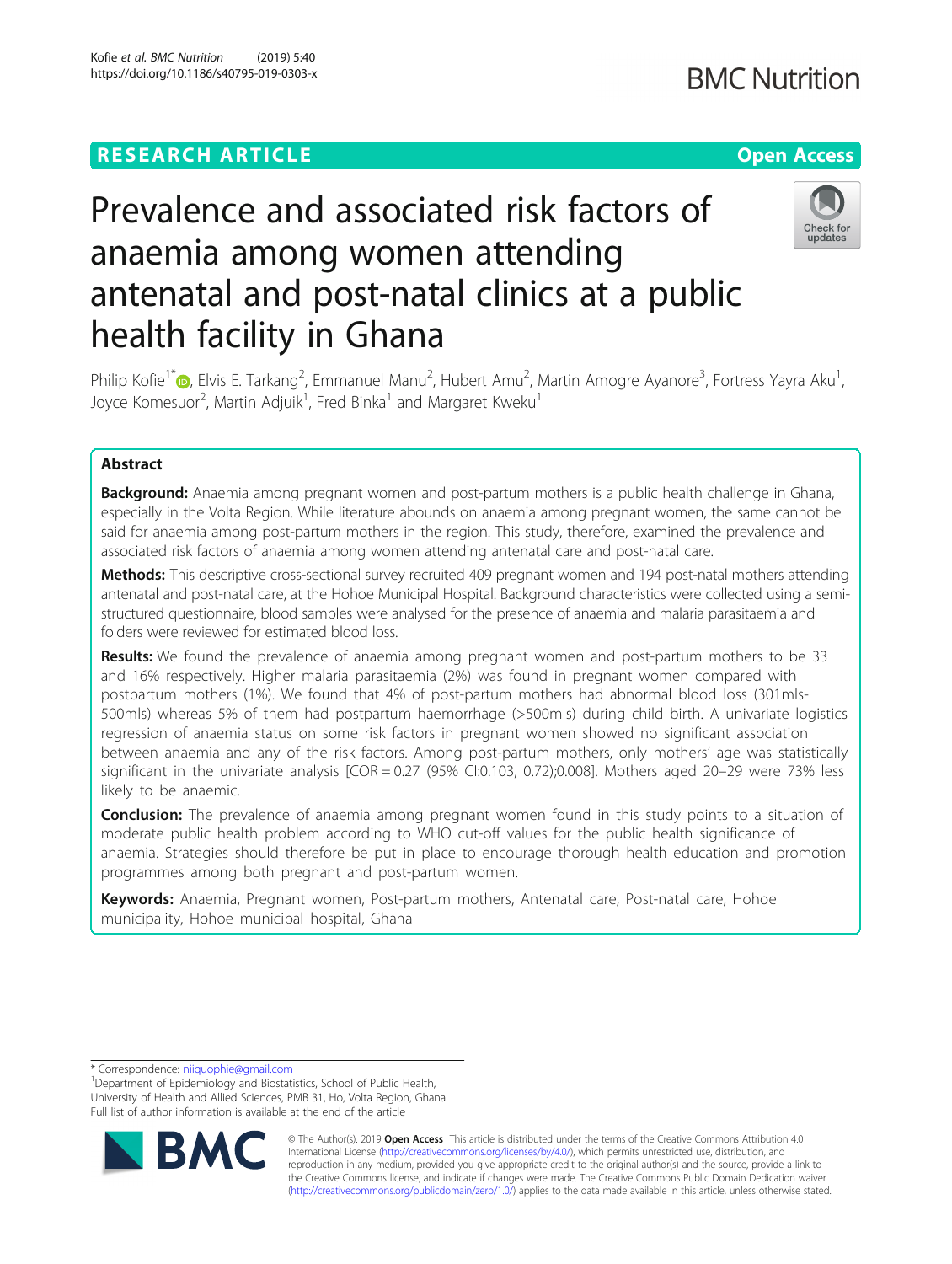## **RESEARCH ARTICLE Example 2018 12:30 THE Open Access**

# Prevalence and associated risk factors of anaemia among women attending antenatal and post-natal clinics at a public health facility in Ghana



Philip Kofie<sup>1[\\*](http://orcid.org/0000-0002-8621-1233)</sup>�, Elvis E. Tarkang<sup>2</sup>, Emmanuel Manu<sup>2</sup>, Hubert Amu<sup>2</sup>, Martin Amogre Ayanore<sup>3</sup>, Fortress Yayra Aku<sup>1</sup> , Joyce Komesuor<sup>2</sup>, Martin Adjuik<sup>1</sup>, Fred Binka<sup>1</sup> and Margaret Kweku<sup>1</sup>

### Abstract

Background: Anaemia among pregnant women and post-partum mothers is a public health challenge in Ghana, especially in the Volta Region. While literature abounds on anaemia among pregnant women, the same cannot be said for anaemia among post-partum mothers in the region. This study, therefore, examined the prevalence and associated risk factors of anaemia among women attending antenatal care and post-natal care.

Methods: This descriptive cross-sectional survey recruited 409 pregnant women and 194 post-natal mothers attending antenatal and post-natal care, at the Hohoe Municipal Hospital. Background characteristics were collected using a semistructured questionnaire, blood samples were analysed for the presence of anaemia and malaria parasitaemia and folders were reviewed for estimated blood loss.

Results: We found the prevalence of anaemia among pregnant women and post-partum mothers to be 33 and 16% respectively. Higher malaria parasitaemia (2%) was found in pregnant women compared with postpartum mothers (1%). We found that 4% of post-partum mothers had abnormal blood loss (301mls-500mls) whereas 5% of them had postpartum haemorrhage (>500mls) during child birth. A univariate logistics regression of anaemia status on some risk factors in pregnant women showed no significant association between anaemia and any of the risk factors. Among post-partum mothers, only mothers' age was statistically significant in the univariate analysis [COR = 0.27 (95% CI:0.103, 0.72);0.008]. Mothers aged 20–29 were 73% less likely to be anaemic.

**Conclusion:** The prevalence of anaemia among pregnant women found in this study points to a situation of moderate public health problem according to WHO cut-off values for the public health significance of anaemia. Strategies should therefore be put in place to encourage thorough health education and promotion programmes among both pregnant and post-partum women.

Keywords: Anaemia, Pregnant women, Post-partum mothers, Antenatal care, Post-natal care, Hohoe municipality, Hohoe municipal hospital, Ghana

\* Correspondence: [niiquophie@gmail.com](mailto:niiquophie@gmail.com) <sup>1</sup>

<sup>1</sup>Department of Epidemiology and Biostatistics, School of Public Health, University of Health and Allied Sciences, PMB 31, Ho, Volta Region, Ghana Full list of author information is available at the end of the article



© The Author(s). 2019 **Open Access** This article is distributed under the terms of the Creative Commons Attribution 4.0 International License [\(http://creativecommons.org/licenses/by/4.0/](http://creativecommons.org/licenses/by/4.0/)), which permits unrestricted use, distribution, and reproduction in any medium, provided you give appropriate credit to the original author(s) and the source, provide a link to the Creative Commons license, and indicate if changes were made. The Creative Commons Public Domain Dedication waiver [\(http://creativecommons.org/publicdomain/zero/1.0/](http://creativecommons.org/publicdomain/zero/1.0/)) applies to the data made available in this article, unless otherwise stated.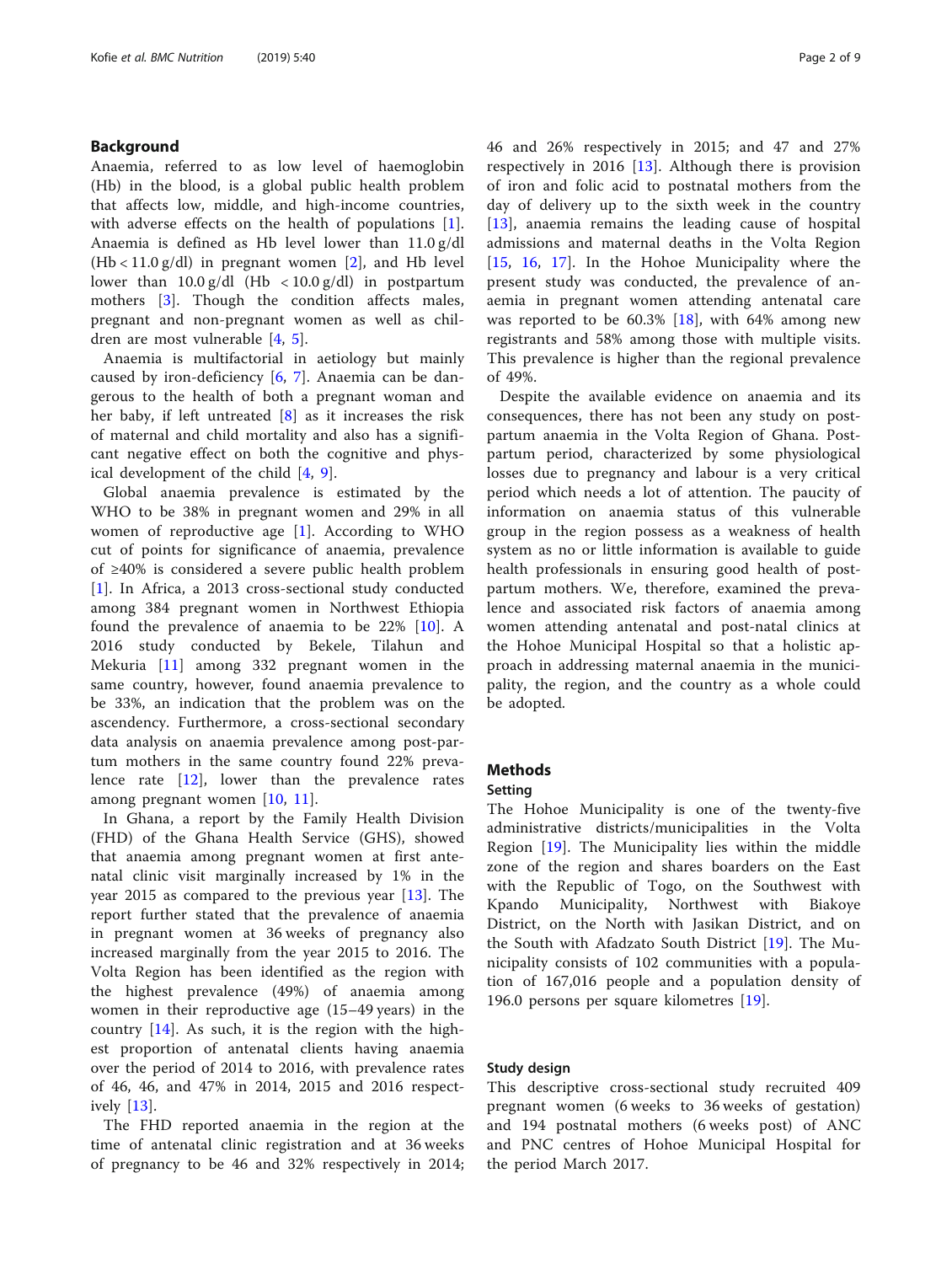#### Background

Anaemia, referred to as low level of haemoglobin (Hb) in the blood, is a global public health problem that affects low, middle, and high-income countries, with adverse effects on the health of populations [\[1](#page-8-0)]. Anaemia is defined as Hb level lower than 11.0 g/dl  $(Hb < 11.0 g/dl)$  in pregnant women [[2\]](#page-8-0), and Hb level lower than  $10.0 \frac{g}{dl}$  (Hb < 10.0 g/dl) in postpartum mothers [[3](#page-8-0)]. Though the condition affects males, pregnant and non-pregnant women as well as children are most vulnerable [\[4](#page-8-0), [5](#page-8-0)].

Anaemia is multifactorial in aetiology but mainly caused by iron-deficiency [\[6](#page-8-0), [7\]](#page-8-0). Anaemia can be dangerous to the health of both a pregnant woman and her baby, if left untreated [[8](#page-8-0)] as it increases the risk of maternal and child mortality and also has a significant negative effect on both the cognitive and physical development of the child [\[4](#page-8-0), [9\]](#page-8-0).

Global anaemia prevalence is estimated by the WHO to be 38% in pregnant women and 29% in all women of reproductive age [[1\]](#page-8-0). According to WHO cut of points for significance of anaemia, prevalence of ≥40% is considered a severe public health problem [[1\]](#page-8-0). In Africa, a 2013 cross-sectional study conducted among 384 pregnant women in Northwest Ethiopia found the prevalence of anaemia to be 22% [[10\]](#page-8-0). A 2016 study conducted by Bekele, Tilahun and Mekuria [\[11](#page-8-0)] among 332 pregnant women in the same country, however, found anaemia prevalence to be 33%, an indication that the problem was on the ascendency. Furthermore, a cross-sectional secondary data analysis on anaemia prevalence among post-partum mothers in the same country found 22% prevalence rate  $[12]$  $[12]$ , lower than the prevalence rates among pregnant women [[10,](#page-8-0) [11\]](#page-8-0).

In Ghana, a report by the Family Health Division (FHD) of the Ghana Health Service (GHS), showed that anaemia among pregnant women at first antenatal clinic visit marginally increased by 1% in the year 2015 as compared to the previous year [[13\]](#page-8-0). The report further stated that the prevalence of anaemia in pregnant women at 36 weeks of pregnancy also increased marginally from the year 2015 to 2016. The Volta Region has been identified as the region with the highest prevalence (49%) of anaemia among women in their reproductive age (15–49 years) in the country [[14\]](#page-8-0). As such, it is the region with the highest proportion of antenatal clients having anaemia over the period of 2014 to 2016, with prevalence rates of 46, 46, and 47% in 2014, 2015 and 2016 respectively [[13\]](#page-8-0).

The FHD reported anaemia in the region at the time of antenatal clinic registration and at 36 weeks of pregnancy to be 46 and 32% respectively in 2014; 46 and 26% respectively in 2015; and 47 and 27% respectively in 2016 [[13\]](#page-8-0). Although there is provision of iron and folic acid to postnatal mothers from the day of delivery up to the sixth week in the country [[13\]](#page-8-0), anaemia remains the leading cause of hospital admissions and maternal deaths in the Volta Region [[15,](#page-8-0) [16](#page-8-0), [17\]](#page-8-0). In the Hohoe Municipality where the present study was conducted, the prevalence of anaemia in pregnant women attending antenatal care was reported to be  $60.3\%$  [\[18](#page-8-0)], with  $64\%$  among new registrants and 58% among those with multiple visits. This prevalence is higher than the regional prevalence of 49%.

Despite the available evidence on anaemia and its consequences, there has not been any study on postpartum anaemia in the Volta Region of Ghana. Postpartum period, characterized by some physiological losses due to pregnancy and labour is a very critical period which needs a lot of attention. The paucity of information on anaemia status of this vulnerable group in the region possess as a weakness of health system as no or little information is available to guide health professionals in ensuring good health of postpartum mothers. We, therefore, examined the prevalence and associated risk factors of anaemia among women attending antenatal and post-natal clinics at the Hohoe Municipal Hospital so that a holistic approach in addressing maternal anaemia in the municipality, the region, and the country as a whole could be adopted.

#### Methods

#### Setting

The Hohoe Municipality is one of the twenty-five administrative districts/municipalities in the Volta Region [[19\]](#page-8-0). The Municipality lies within the middle zone of the region and shares boarders on the East with the Republic of Togo, on the Southwest with Kpando Municipality, Northwest with Biakoye District, on the North with Jasikan District, and on the South with Afadzato South District [\[19\]](#page-8-0). The Municipality consists of 102 communities with a population of 167,016 people and a population density of 196.0 persons per square kilometres [\[19](#page-8-0)].

#### Study design

This descriptive cross-sectional study recruited 409 pregnant women (6 weeks to 36 weeks of gestation) and 194 postnatal mothers (6 weeks post) of ANC and PNC centres of Hohoe Municipal Hospital for the period March 2017.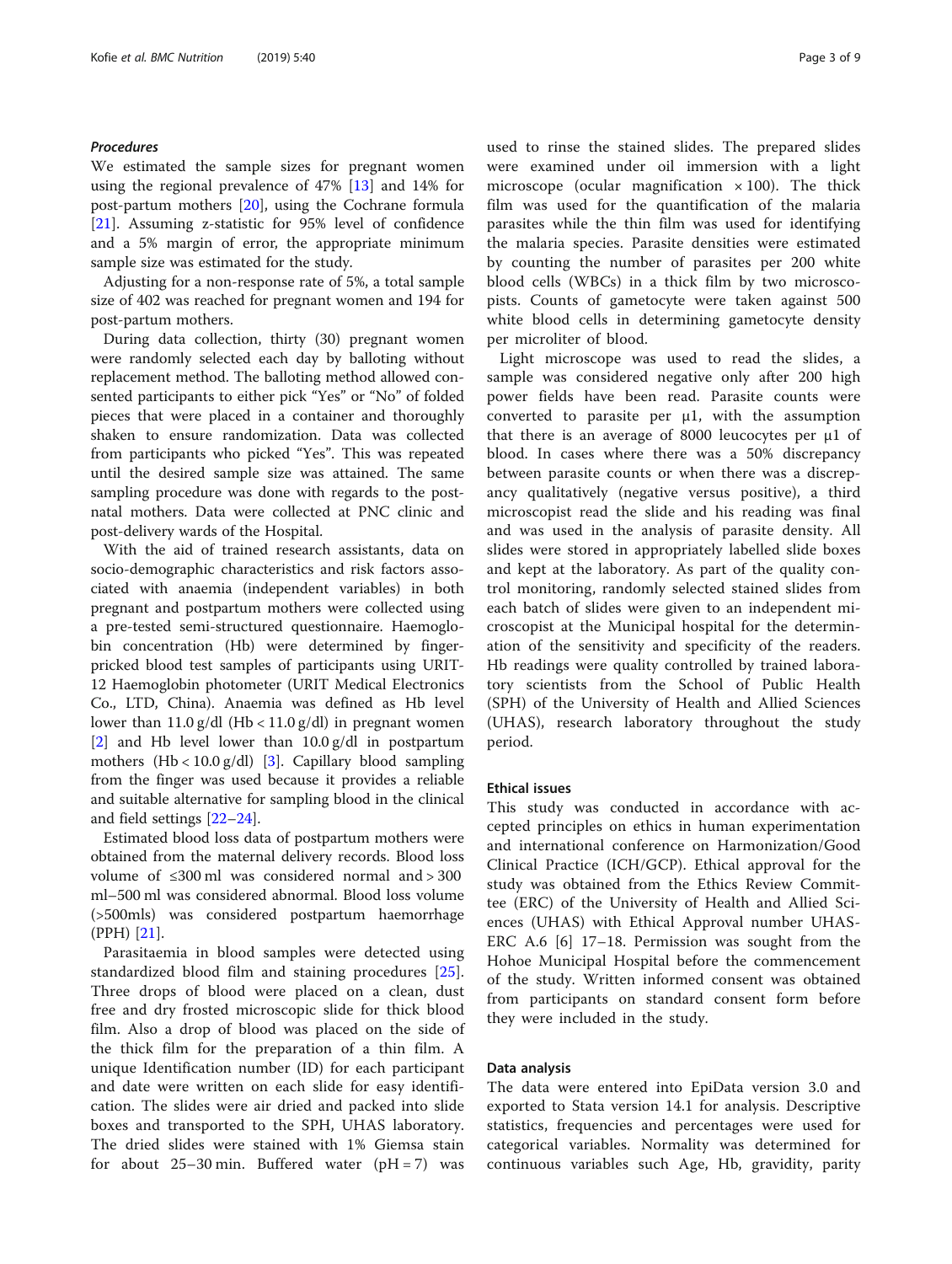#### Procedures

We estimated the sample sizes for pregnant women using the regional prevalence of 47% [\[13](#page-8-0)] and 14% for post-partum mothers [[20](#page-8-0)], using the Cochrane formula [[21\]](#page-8-0). Assuming z-statistic for 95% level of confidence and a 5% margin of error, the appropriate minimum sample size was estimated for the study.

Adjusting for a non-response rate of 5%, a total sample size of 402 was reached for pregnant women and 194 for post-partum mothers.

During data collection, thirty (30) pregnant women were randomly selected each day by balloting without replacement method. The balloting method allowed consented participants to either pick "Yes" or "No" of folded pieces that were placed in a container and thoroughly shaken to ensure randomization. Data was collected from participants who picked "Yes". This was repeated until the desired sample size was attained. The same sampling procedure was done with regards to the postnatal mothers. Data were collected at PNC clinic and post-delivery wards of the Hospital.

With the aid of trained research assistants, data on socio-demographic characteristics and risk factors associated with anaemia (independent variables) in both pregnant and postpartum mothers were collected using a pre-tested semi-structured questionnaire. Haemoglobin concentration (Hb) were determined by fingerpricked blood test samples of participants using URIT-12 Haemoglobin photometer (URIT Medical Electronics Co., LTD, China). Anaemia was defined as Hb level lower than  $11.0$  g/dl (Hb < 11.0 g/dl) in pregnant women [[2\]](#page-8-0) and Hb level lower than 10.0 g/dl in postpartum mothers  $(Hb < 10.0 g/dl)$  [[3](#page-8-0)]. Capillary blood sampling from the finger was used because it provides a reliable and suitable alternative for sampling blood in the clinical and field settings [\[22](#page-8-0)–[24\]](#page-8-0).

Estimated blood loss data of postpartum mothers were obtained from the maternal delivery records. Blood loss volume of ≤300 ml was considered normal and > 300 ml–500 ml was considered abnormal. Blood loss volume (>500mls) was considered postpartum haemorrhage (PPH) [[21\]](#page-8-0).

Parasitaemia in blood samples were detected using standardized blood film and staining procedures [\[25](#page-8-0)]. Three drops of blood were placed on a clean, dust free and dry frosted microscopic slide for thick blood film. Also a drop of blood was placed on the side of the thick film for the preparation of a thin film. A unique Identification number (ID) for each participant and date were written on each slide for easy identification. The slides were air dried and packed into slide boxes and transported to the SPH, UHAS laboratory. The dried slides were stained with 1% Giemsa stain for about  $25-30$  min. Buffered water (pH = 7) was

used to rinse the stained slides. The prepared slides were examined under oil immersion with a light microscope (ocular magnification  $\times$  100). The thick film was used for the quantification of the malaria parasites while the thin film was used for identifying the malaria species. Parasite densities were estimated by counting the number of parasites per 200 white blood cells (WBCs) in a thick film by two microscopists. Counts of gametocyte were taken against 500 white blood cells in determining gametocyte density per microliter of blood.

Light microscope was used to read the slides, a sample was considered negative only after 200 high power fields have been read. Parasite counts were converted to parasite per  $\mu$ 1, with the assumption that there is an average of 8000 leucocytes per μ1 of blood. In cases where there was a 50% discrepancy between parasite counts or when there was a discrepancy qualitatively (negative versus positive), a third microscopist read the slide and his reading was final and was used in the analysis of parasite density. All slides were stored in appropriately labelled slide boxes and kept at the laboratory. As part of the quality control monitoring, randomly selected stained slides from each batch of slides were given to an independent microscopist at the Municipal hospital for the determination of the sensitivity and specificity of the readers. Hb readings were quality controlled by trained laboratory scientists from the School of Public Health (SPH) of the University of Health and Allied Sciences (UHAS), research laboratory throughout the study period.

#### Ethical issues

This study was conducted in accordance with accepted principles on ethics in human experimentation and international conference on Harmonization/Good Clinical Practice (ICH/GCP). Ethical approval for the study was obtained from the Ethics Review Committee (ERC) of the University of Health and Allied Sciences (UHAS) with Ethical Approval number UHAS-ERC A.6 [6] 17–18. Permission was sought from the Hohoe Municipal Hospital before the commencement of the study. Written informed consent was obtained from participants on standard consent form before they were included in the study.

#### Data analysis

The data were entered into EpiData version 3.0 and exported to Stata version 14.1 for analysis. Descriptive statistics, frequencies and percentages were used for categorical variables. Normality was determined for continuous variables such Age, Hb, gravidity, parity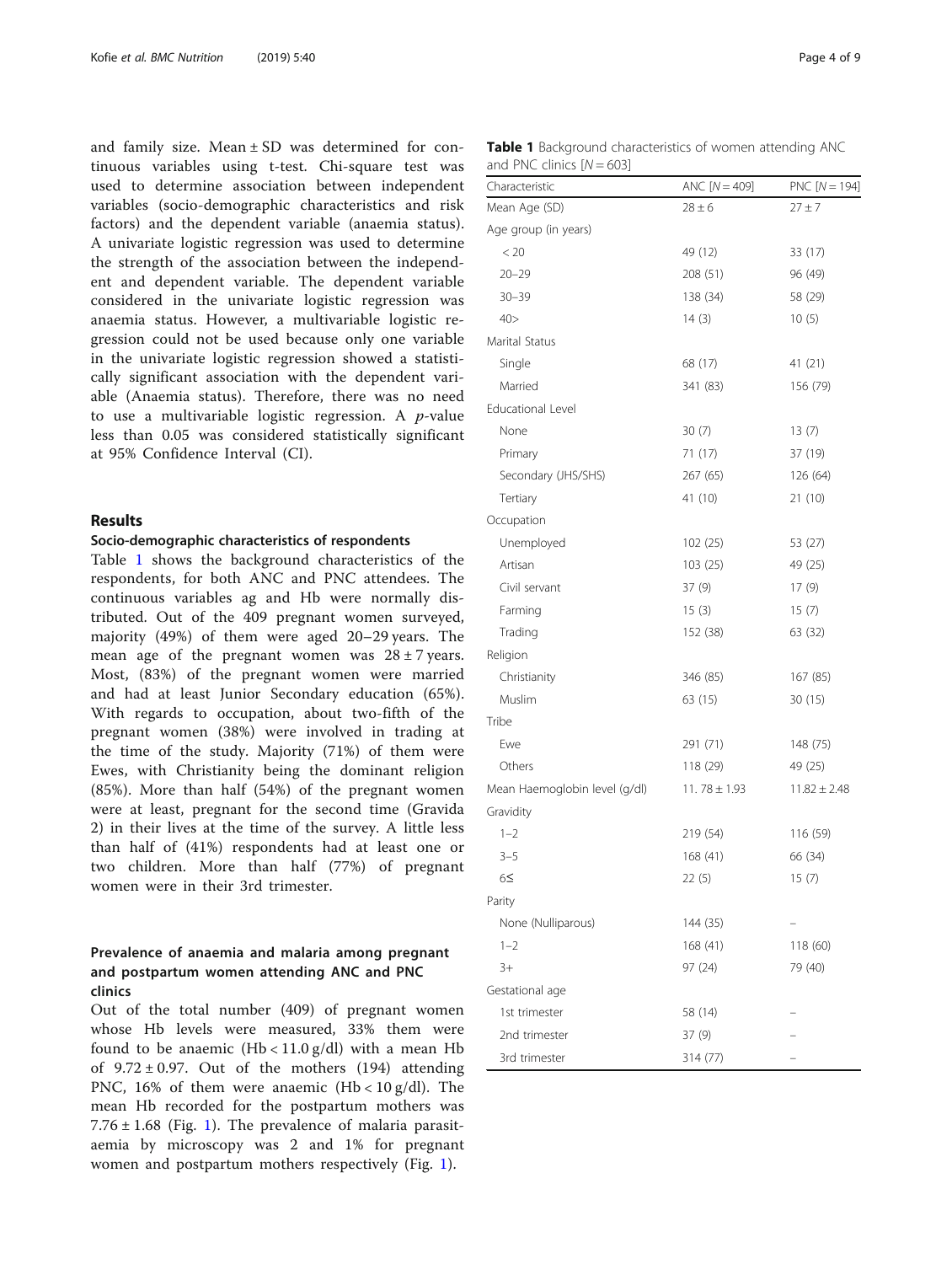and family size. Mean ± SD was determined for continuous variables using t-test. Chi-square test was used to determine association between independent variables (socio-demographic characteristics and risk factors) and the dependent variable (anaemia status). A univariate logistic regression was used to determine the strength of the association between the independent and dependent variable. The dependent variable considered in the univariate logistic regression was anaemia status. However, a multivariable logistic regression could not be used because only one variable in the univariate logistic regression showed a statistically significant association with the dependent variable (Anaemia status). Therefore, there was no need to use a multivariable logistic regression. A  $p$ -value less than 0.05 was considered statistically significant at 95% Confidence Interval (CI).

#### Results

#### Socio-demographic characteristics of respondents

Table 1 shows the background characteristics of the respondents, for both ANC and PNC attendees. The continuous variables ag and Hb were normally distributed. Out of the 409 pregnant women surveyed, majority (49%) of them were aged 20–29 years. The mean age of the pregnant women was  $28 \pm 7$  years. Most, (83%) of the pregnant women were married and had at least Junior Secondary education (65%). With regards to occupation, about two-fifth of the pregnant women (38%) were involved in trading at the time of the study. Majority (71%) of them were Ewes, with Christianity being the dominant religion (85%). More than half (54%) of the pregnant women were at least, pregnant for the second time (Gravida 2) in their lives at the time of the survey. A little less than half of (41%) respondents had at least one or two children. More than half (77%) of pregnant women were in their 3rd trimester.

#### Prevalence of anaemia and malaria among pregnant and postpartum women attending ANC and PNC clinics

Out of the total number (409) of pregnant women whose Hb levels were measured, 33% them were found to be anaemic (Hb < 11.0 g/dl) with a mean Hb of  $9.72 \pm 0.97$ . Out of the mothers (194) attending PNC, 16% of them were anaemic  $(Hb < 10 g/dl)$ . The mean Hb recorded for the postpartum mothers was  $7.76 \pm 1.68$  (Fig. [1\)](#page-4-0). The prevalence of malaria parasitaemia by microscopy was 2 and 1% for pregnant women and postpartum mothers respectively (Fig. [1](#page-4-0)).

|                             | <b>Table 1</b> Background characteristics of women attending ANC |  |  |
|-----------------------------|------------------------------------------------------------------|--|--|
| and PNC clinics $[N = 603]$ |                                                                  |  |  |

| Characteristic                | $ANC [N = 409]$  | PNC $[N = 194]$  |
|-------------------------------|------------------|------------------|
| Mean Age (SD)                 | $28 \pm 6$       | $27 \pm 7$       |
| Age group (in years)          |                  |                  |
| < 20                          | 49 (12)          | 33 (17)          |
| $20 - 29$                     | 208 (51)         | 96 (49)          |
| $30 - 39$                     | 138 (34)         | 58 (29)          |
| 40 >                          | 14(3)            | 10(5)            |
| Marital Status                |                  |                  |
| Single                        | 68 (17)          | 41 (21)          |
| Married                       | 341 (83)         | 156 (79)         |
| <b>Educational Level</b>      |                  |                  |
| None                          | 30(7)            | 13(7)            |
| Primary                       | 71 (17)          | 37 (19)          |
| Secondary (JHS/SHS)           | 267 (65)         | 126 (64)         |
| Tertiary                      | 41 (10)          | 21 (10)          |
| Occupation                    |                  |                  |
| Unemployed                    | 102(25)          | 53 (27)          |
| Artisan                       | 103(25)          | 49 (25)          |
| Civil servant                 | 37 (9)           | 17(9)            |
| Farming                       | 15(3)            | 15(7)            |
| Trading                       | 152 (38)         | 63 (32)          |
| Religion                      |                  |                  |
| Christianity                  | 346 (85)         | 167 (85)         |
| Muslim                        | 63 (15)          | 30 (15)          |
| Tribe                         |                  |                  |
| Ewe                           | 291 (71)         | 148 (75)         |
| Others                        | 118 (29)         | 49 (25)          |
| Mean Haemoglobin level (g/dl) | 11.78 $\pm$ 1.93 | $11.82 \pm 2.48$ |
| Gravidity                     |                  |                  |
| $1 - 2$                       | 219 (54)         | 116 (59)         |
| $3 - 5$                       | 168 (41)         | 66 (34)          |
| 6≤                            | 22(5)            | 15(7)            |
| Parity                        |                  |                  |
| None (Nulliparous)            | 144 (35)         |                  |
| $1 - 2$                       | 168 (41)         | 118 (60)         |
| 3+                            | 97 (24)          | 79 (40)          |
| Gestational age               |                  |                  |
| 1st trimester                 | 58 (14)          |                  |
| 2nd trimester                 | 37 (9)           |                  |
| 3rd trimester                 | 314 (77)         |                  |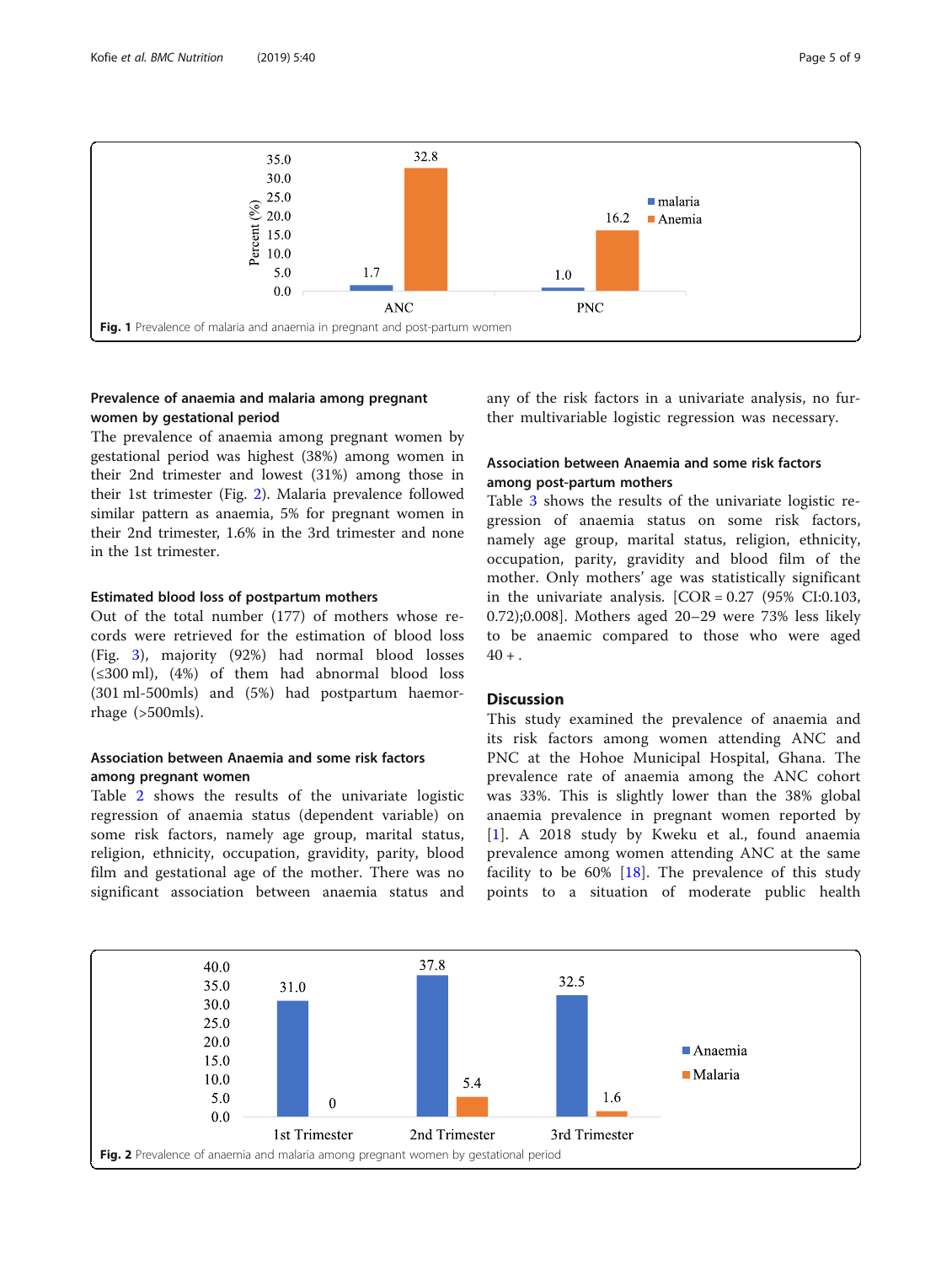<span id="page-4-0"></span>

#### Prevalence of anaemia and malaria among pregnant women by gestational period

The prevalence of anaemia among pregnant women by gestational period was highest (38%) among women in their 2nd trimester and lowest (31%) among those in their 1st trimester (Fig. 2). Malaria prevalence followed similar pattern as anaemia, 5% for pregnant women in their 2nd trimester, 1.6% in the 3rd trimester and none in the 1st trimester.

#### Estimated blood loss of postpartum mothers

Out of the total number (177) of mothers whose records were retrieved for the estimation of blood loss (Fig. [3\)](#page-5-0), majority (92%) had normal blood losses (≤300 ml), (4%) of them had abnormal blood loss (301 ml-500mls) and (5%) had postpartum haemorrhage (>500mls).

#### Association between Anaemia and some risk factors among pregnant women

Table [2](#page-6-0) shows the results of the univariate logistic regression of anaemia status (dependent variable) on some risk factors, namely age group, marital status, religion, ethnicity, occupation, gravidity, parity, blood film and gestational age of the mother. There was no significant association between anaemia status and any of the risk factors in a univariate analysis, no further multivariable logistic regression was necessary.

#### Association between Anaemia and some risk factors among post-partum mothers

Table [3](#page-7-0) shows the results of the univariate logistic regression of anaemia status on some risk factors, namely age group, marital status, religion, ethnicity, occupation, parity, gravidity and blood film of the mother. Only mothers' age was statistically significant in the univariate analysis.  $[COR = 0.27 (95\% CI:0.103,$ 0.72);0.008]. Mothers aged 20–29 were 73% less likely to be anaemic compared to those who were aged  $40 + .$ 

#### **Discussion**

This study examined the prevalence of anaemia and its risk factors among women attending ANC and PNC at the Hohoe Municipal Hospital, Ghana. The prevalence rate of anaemia among the ANC cohort was 33%. This is slightly lower than the 38% global anaemia prevalence in pregnant women reported by [[1](#page-8-0)]. A 2018 study by Kweku et al., found anaemia prevalence among women attending ANC at the same facility to be  $60\%$  [\[18](#page-8-0)]. The prevalence of this study points to a situation of moderate public health

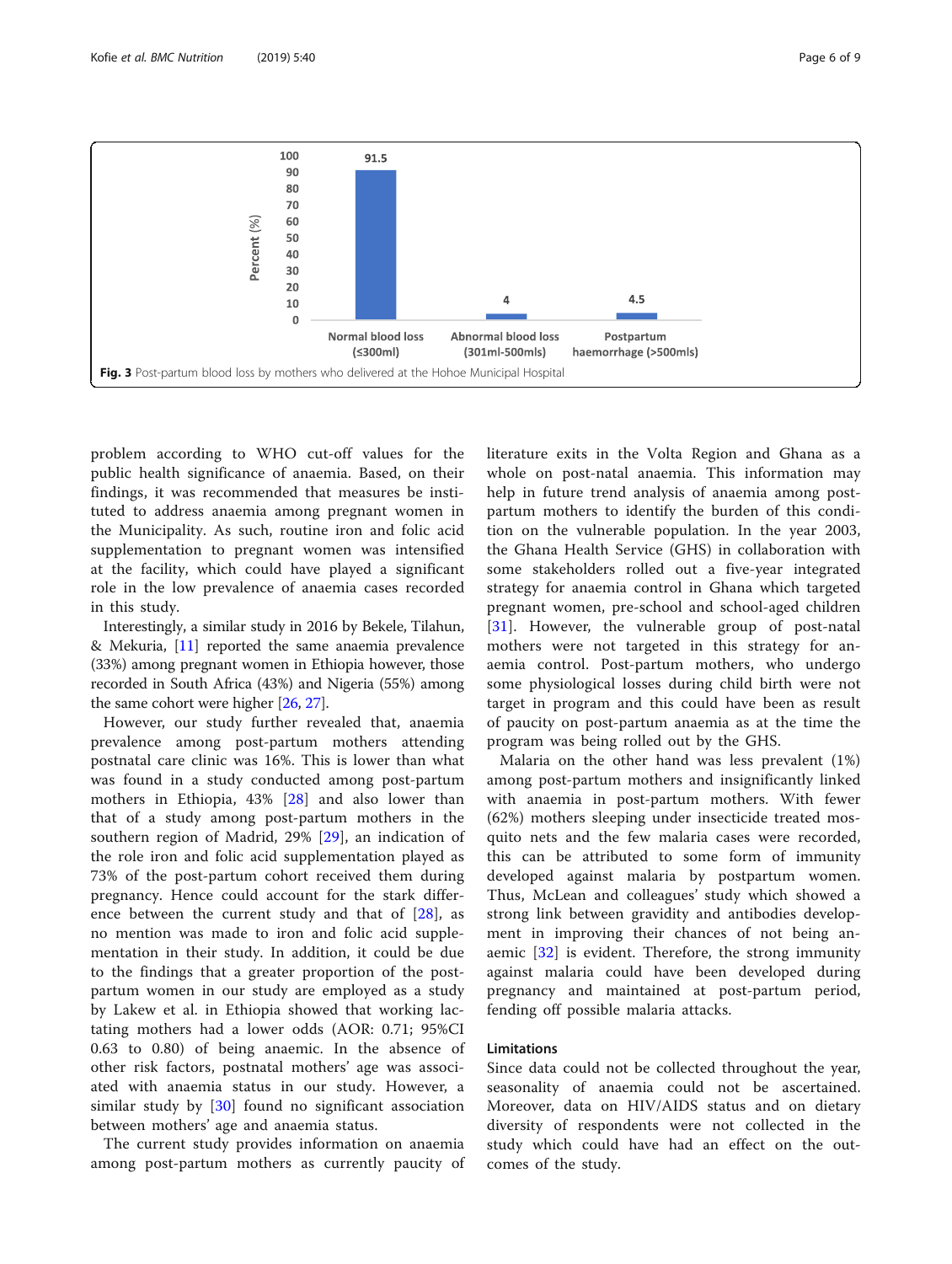<span id="page-5-0"></span>

problem according to WHO cut-off values for the public health significance of anaemia. Based, on their findings, it was recommended that measures be instituted to address anaemia among pregnant women in the Municipality. As such, routine iron and folic acid supplementation to pregnant women was intensified at the facility, which could have played a significant role in the low prevalence of anaemia cases recorded in this study.

Interestingly, a similar study in 2016 by Bekele, Tilahun, & Mekuria, [\[11\]](#page-8-0) reported the same anaemia prevalence (33%) among pregnant women in Ethiopia however, those recorded in South Africa (43%) and Nigeria (55%) among the same cohort were higher [[26](#page-8-0), [27\]](#page-8-0).

However, our study further revealed that, anaemia prevalence among post-partum mothers attending postnatal care clinic was 16%. This is lower than what was found in a study conducted among post-partum mothers in Ethiopia, 43% [\[28](#page-8-0)] and also lower than that of a study among post-partum mothers in the southern region of Madrid, 29% [[29\]](#page-8-0), an indication of the role iron and folic acid supplementation played as 73% of the post-partum cohort received them during pregnancy. Hence could account for the stark difference between the current study and that of  $[28]$  $[28]$ , as no mention was made to iron and folic acid supplementation in their study. In addition, it could be due to the findings that a greater proportion of the postpartum women in our study are employed as a study by Lakew et al. in Ethiopia showed that working lactating mothers had a lower odds (AOR: 0.71; 95%CI 0.63 to 0.80) of being anaemic. In the absence of other risk factors, postnatal mothers' age was associated with anaemia status in our study. However, a similar study by [[30\]](#page-8-0) found no significant association between mothers' age and anaemia status.

The current study provides information on anaemia among post-partum mothers as currently paucity of literature exits in the Volta Region and Ghana as a whole on post-natal anaemia. This information may help in future trend analysis of anaemia among postpartum mothers to identify the burden of this condition on the vulnerable population. In the year 2003, the Ghana Health Service (GHS) in collaboration with some stakeholders rolled out a five-year integrated strategy for anaemia control in Ghana which targeted pregnant women, pre-school and school-aged children [[31\]](#page-8-0). However, the vulnerable group of post-natal mothers were not targeted in this strategy for anaemia control. Post-partum mothers, who undergo some physiological losses during child birth were not target in program and this could have been as result of paucity on post-partum anaemia as at the time the program was being rolled out by the GHS.

Malaria on the other hand was less prevalent (1%) among post-partum mothers and insignificantly linked with anaemia in post-partum mothers. With fewer (62%) mothers sleeping under insecticide treated mosquito nets and the few malaria cases were recorded, this can be attributed to some form of immunity developed against malaria by postpartum women. Thus, McLean and colleagues' study which showed a strong link between gravidity and antibodies development in improving their chances of not being anaemic [[32\]](#page-8-0) is evident. Therefore, the strong immunity against malaria could have been developed during pregnancy and maintained at post-partum period, fending off possible malaria attacks.

#### Limitations

Since data could not be collected throughout the year, seasonality of anaemia could not be ascertained. Moreover, data on HIV/AIDS status and on dietary diversity of respondents were not collected in the study which could have had an effect on the outcomes of the study.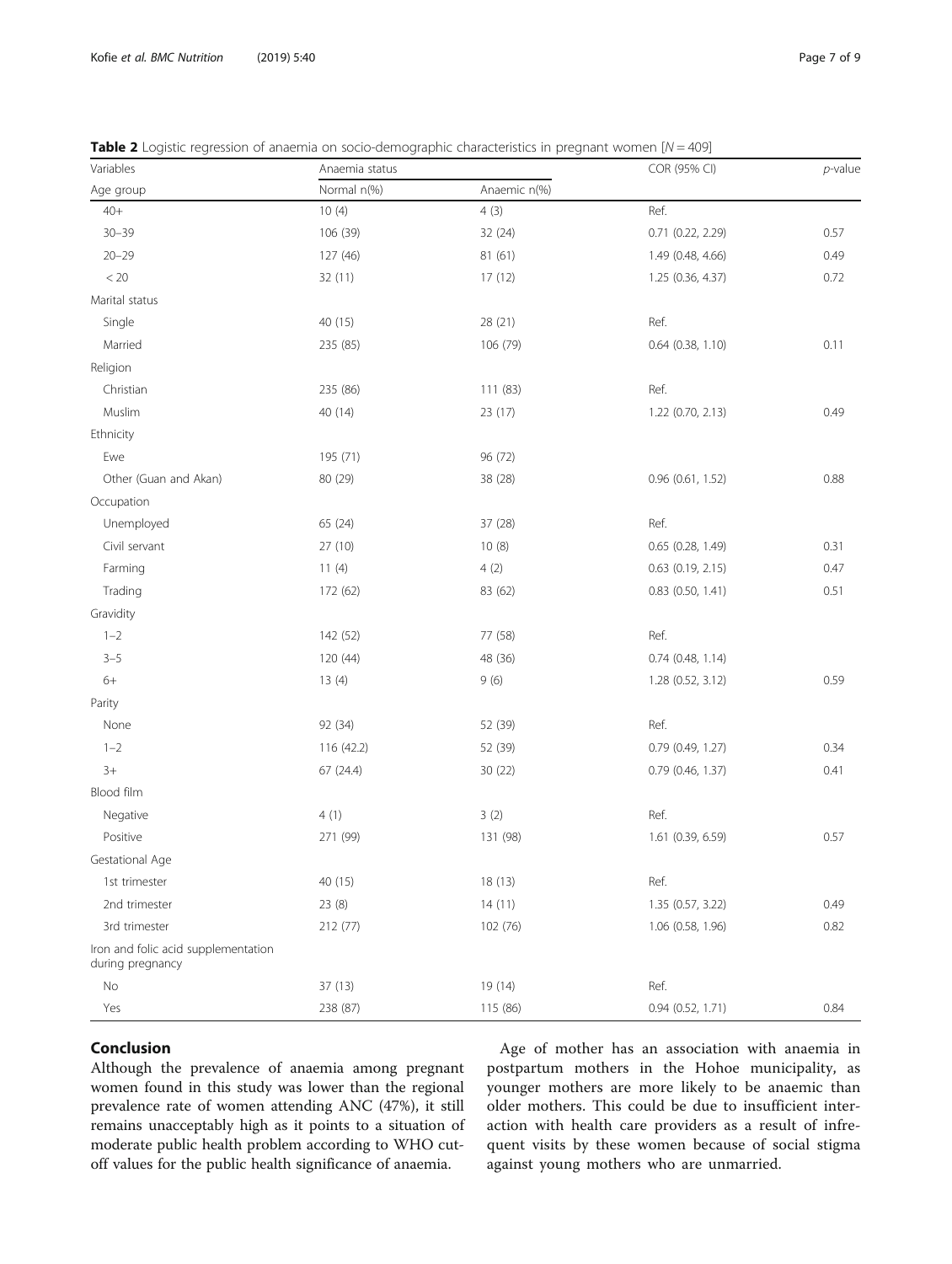| Variables                                               | Anaemia status |              | COR (95% CI)          | $p$ -value |
|---------------------------------------------------------|----------------|--------------|-----------------------|------------|
| Age group                                               | Normal n(%)    | Anaemic n(%) |                       |            |
| $40+$                                                   | 10(4)          | 4(3)         | Ref.                  |            |
| $30 - 39$                                               | 106 (39)       | 32 (24)      | 0.71 (0.22, 2.29)     | 0.57       |
| $20 - 29$                                               | 127 (46)       | 81(61)       | 1.49 (0.48, 4.66)     | 0.49       |
| $< 20\,$                                                | 32 (11)        | 17(12)       | 1.25 (0.36, 4.37)     | 0.72       |
| Marital status                                          |                |              |                       |            |
| Single                                                  | 40 (15)        | 28 (21)      | Ref.                  |            |
| Married                                                 | 235 (85)       | 106 (79)     | 0.64 (0.38, 1.10)     | 0.11       |
| Religion                                                |                |              |                       |            |
| Christian                                               | 235 (86)       | 111(83)      | Ref.                  |            |
| Muslim                                                  | 40 (14)        | 23 (17)      | 1.22 (0.70, 2.13)     | 0.49       |
| Ethnicity                                               |                |              |                       |            |
| Ewe                                                     | 195 (71)       | 96 (72)      |                       |            |
| Other (Guan and Akan)                                   | 80 (29)        | 38 (28)      | 0.96 (0.61, 1.52)     | 0.88       |
| Occupation                                              |                |              |                       |            |
| Unemployed                                              | 65 (24)        | 37 (28)      | Ref.                  |            |
| Civil servant                                           | 27 (10)        | 10(8)        | 0.65 (0.28, 1.49)     | 0.31       |
| Farming                                                 | 11(4)          | 4(2)         | $0.63$ $(0.19, 2.15)$ | 0.47       |
| Trading                                                 | 172 (62)       | 83 (62)      | $0.83$ (0.50, 1.41)   | 0.51       |
| Gravidity                                               |                |              |                       |            |
| $1 - 2$                                                 | 142 (52)       | 77 (58)      | Ref.                  |            |
| $3 - 5$                                                 | 120 (44)       | 48 (36)      | $0.74$ (0.48, 1.14)   |            |
| $6+$                                                    | 13(4)          | 9(6)         | 1.28 (0.52, 3.12)     | 0.59       |
| Parity                                                  |                |              |                       |            |
| None                                                    | 92 (34)        | 52 (39)      | Ref.                  |            |
| $1 - 2$                                                 | 116 (42.2)     | 52 (39)      | 0.79 (0.49, 1.27)     | 0.34       |
| $3+$                                                    | 67 (24.4)      | 30(22)       | 0.79 (0.46, 1.37)     | 0.41       |
| Blood film                                              |                |              |                       |            |
| Negative                                                | 4(1)           | 3(2)         | Ref.                  |            |
| Positive                                                | 271 (99)       | 131 (98)     | 1.61 (0.39, 6.59)     | 0.57       |
| Gestational Age                                         |                |              |                       |            |
| 1st trimester                                           | 40 (15)        | 18(13)       | Ref.                  |            |
| 2nd trimester                                           | 23 (8)         | 14(11)       | 1.35 (0.57, 3.22)     | 0.49       |
| 3rd trimester                                           | 212 (77)       | 102 (76)     | 1.06 (0.58, 1.96)     | 0.82       |
| Iron and folic acid supplementation<br>during pregnancy |                |              |                       |            |
| $\rm No$                                                | 37 (13)        | 19 (14)      | Ref.                  |            |
| Yes                                                     | 238 (87)       | 115 (86)     | 0.94 (0.52, 1.71)     | 0.84       |

<span id="page-6-0"></span>**Table 2** Logistic regression of anaemia on socio-demographic characteristics in pregnant women  $[N = 409]$ 

#### Conclusion

Although the prevalence of anaemia among pregnant women found in this study was lower than the regional prevalence rate of women attending ANC (47%), it still remains unacceptably high as it points to a situation of moderate public health problem according to WHO cutoff values for the public health significance of anaemia.

Age of mother has an association with anaemia in postpartum mothers in the Hohoe municipality, as younger mothers are more likely to be anaemic than older mothers. This could be due to insufficient interaction with health care providers as a result of infrequent visits by these women because of social stigma against young mothers who are unmarried.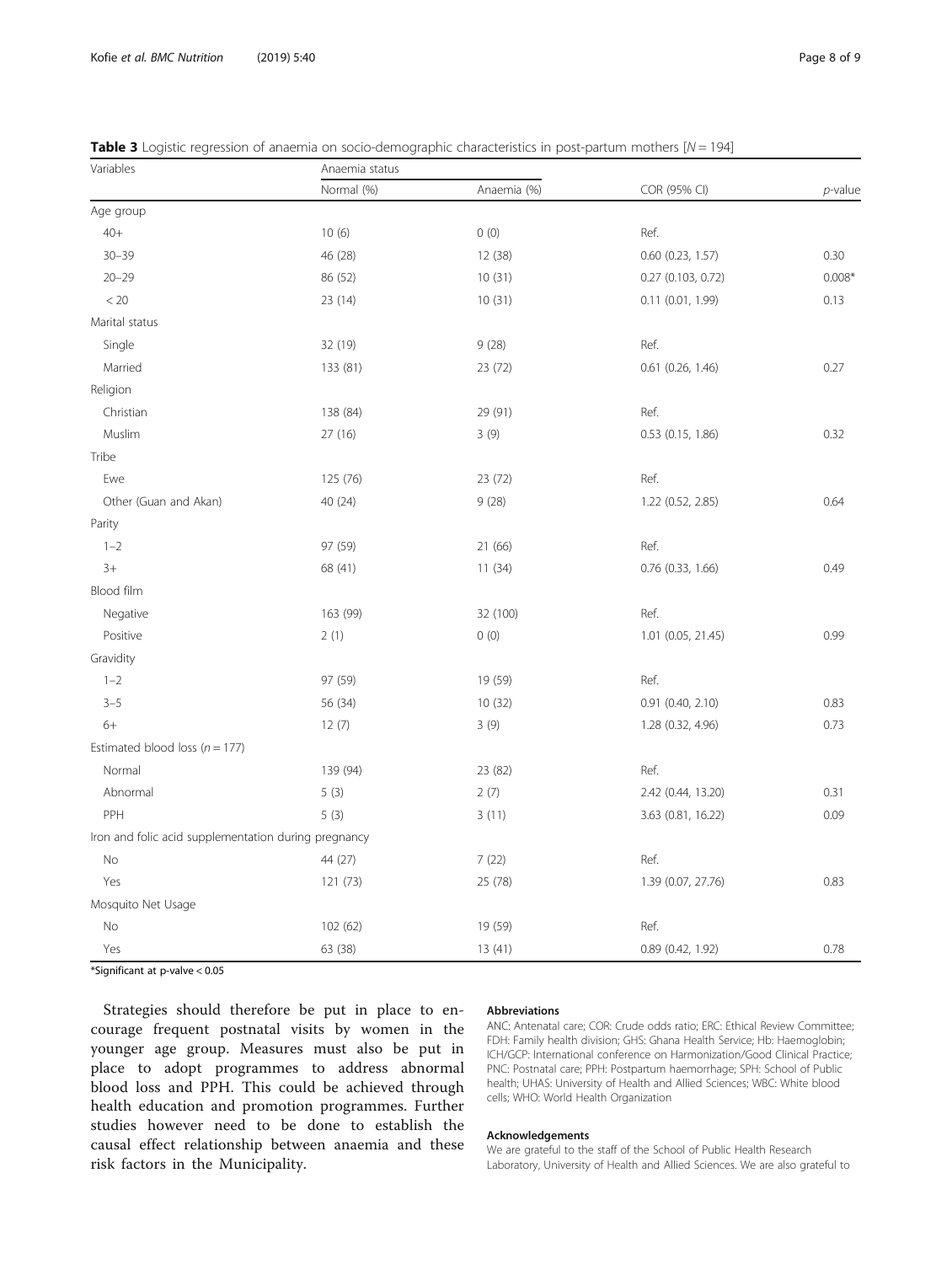| Variables                                            | Anaemia status |             |                       |            |  |
|------------------------------------------------------|----------------|-------------|-----------------------|------------|--|
|                                                      | Normal (%)     | Anaemia (%) | COR (95% CI)          | $p$ -value |  |
| Age group                                            |                |             |                       |            |  |
| $40+$                                                | 10(6)          | 0(0)        | Ref.                  |            |  |
| $30 - 39$                                            | 46 (28)        | 12 (38)     | $0.60$ $(0.23, 1.57)$ | 0.30       |  |
| $20 - 29$                                            | 86 (52)        | 10(31)      | $0.27$ (0.103, 0.72)  | $0.008*$   |  |
| < 20                                                 | 23 (14)        | 10(31)      | 0.11(0.01, 1.99)      | 0.13       |  |
| Marital status                                       |                |             |                       |            |  |
| Single                                               | 32 (19)        | 9(28)       | Ref.                  |            |  |
| Married                                              | 133 (81)       | 23 (72)     | 0.61 (0.26, 1.46)     | 0.27       |  |
| Religion                                             |                |             |                       |            |  |
| Christian                                            | 138 (84)       | 29 (91)     | Ref.                  |            |  |
| Muslim                                               | 27(16)         | 3(9)        | $0.53$ (0.15, 1.86)   | 0.32       |  |
| Tribe                                                |                |             |                       |            |  |
| Ewe                                                  | 125 (76)       | 23 (72)     | Ref.                  |            |  |
| Other (Guan and Akan)                                | 40 (24)        | 9(28)       | 1.22 (0.52, 2.85)     | 0.64       |  |
| Parity                                               |                |             |                       |            |  |
| $1 - 2$                                              | 97 (59)        | 21 (66)     | Ref.                  |            |  |
| $3+$                                                 | 68 (41)        | 11(34)      | 0.76 (0.33, 1.66)     | 0.49       |  |
| Blood film                                           |                |             |                       |            |  |
| Negative                                             | 163 (99)       | 32 (100)    | Ref.                  |            |  |
| Positive                                             | 2(1)           | 0(0)        | 1.01 (0.05, 21.45)    | 0.99       |  |
| Gravidity                                            |                |             |                       |            |  |
| $1 - 2$                                              | 97 (59)        | 19 (59)     | Ref.                  |            |  |
| $3 - 5$                                              | 56 (34)        | 10(32)      | 0.91 (0.40, 2.10)     | 0.83       |  |
| $6+$                                                 | 12(7)          | 3(9)        | 1.28 (0.32, 4.96)     | 0.73       |  |
| Estimated blood loss ( $n = 177$ )                   |                |             |                       |            |  |
| Normal                                               | 139 (94)       | 23 (82)     | Ref.                  |            |  |
| Abnormal                                             | 5(3)           | 2(7)        | 2.42 (0.44, 13.20)    | 0.31       |  |
| PPH                                                  | 5(3)           | 3(11)       | 3.63 (0.81, 16.22)    | 0.09       |  |
| Iron and folic acid supplementation during pregnancy |                |             |                       |            |  |
| No                                                   | 44 (27)        | 7(22)       | Ref.                  |            |  |
| Yes                                                  | 121 (73)       | 25 (78)     | 1.39 (0.07, 27.76)    | 0.83       |  |
| Mosquito Net Usage                                   |                |             |                       |            |  |
| No                                                   | 102 (62)       | 19 (59)     | Ref.                  |            |  |
| Yes                                                  | 63 (38)        | 13(41)      | 0.89 (0.42, 1.92)     | 0.78       |  |

<span id="page-7-0"></span>**Table 3** Logistic regression of anaemia on socio-demographic characteristics in post-partum mothers  $[N = 194]$ 

\*Significant at p-valve < 0.05

Strategies should therefore be put in place to encourage frequent postnatal visits by women in the younger age group. Measures must also be put in place to adopt programmes to address abnormal blood loss and PPH. This could be achieved through health education and promotion programmes. Further studies however need to be done to establish the causal effect relationship between anaemia and these risk factors in the Municipality.

#### Abbreviations

ANC: Antenatal care; COR: Crude odds ratio; ERC: Ethical Review Committee; FDH: Family health division; GHS: Ghana Health Service; Hb: Haemoglobin; ICH/GCP: International conference on Harmonization/Good Clinical Practice; PNC: Postnatal care; PPH: Postpartum haemorrhage; SPH: School of Public health; UHAS: University of Health and Allied Sciences; WBC: White blood cells; WHO: World Health Organization

#### Acknowledgements

We are grateful to the staff of the School of Public Health Research Laboratory, University of Health and Allied Sciences. We are also grateful to